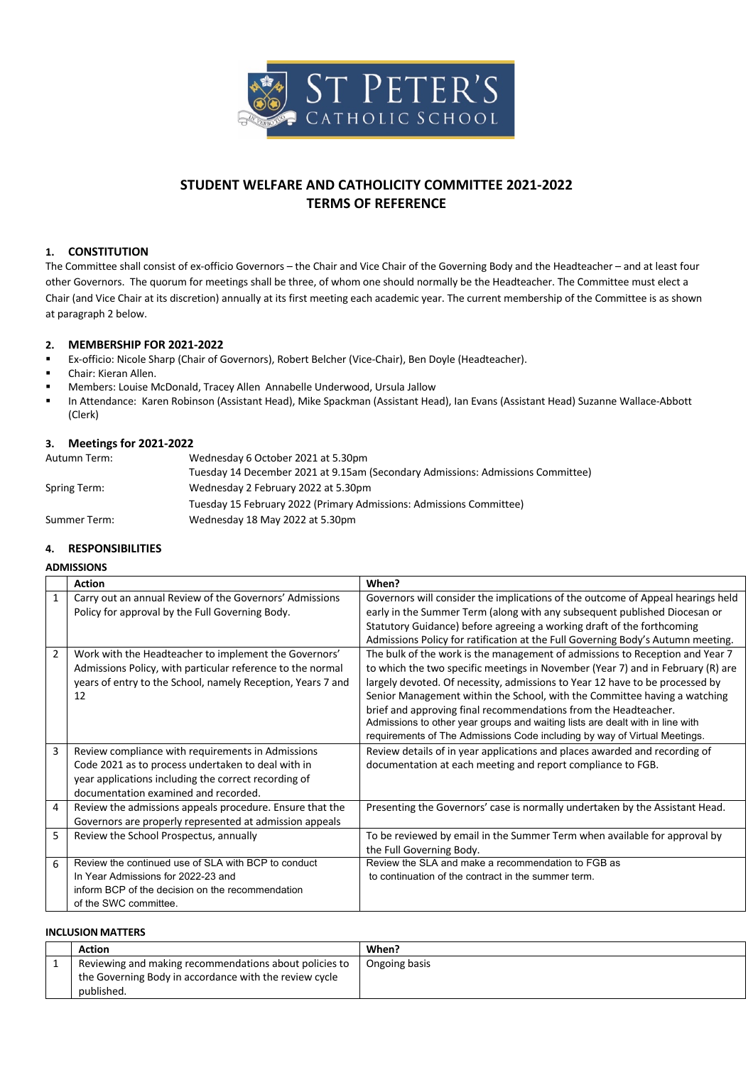

# **STUDENT WELFARE AND CATHOLICITY COMMITTEE 2021-2022 TERMS OF REFERENCE**

# **1. CONSTITUTION**

The Committee shall consist of ex-officio Governors – the Chair and Vice Chair of the Governing Body and the Headteacher – and at least four other Governors. The quorum for meetings shall be three, of whom one should normally be the Headteacher. The Committee must elect a Chair (and Vice Chair at its discretion) annually at its first meeting each academic year. The current membership of the Committee is as shown at paragraph 2 below.

# **2. MEMBERSHIP FOR 2021-2022**

- § Ex-officio: Nicole Sharp (Chair of Governors), Robert Belcher (Vice-Chair), Ben Doyle (Headteacher).
- § Chair: Kieran Allen.
- § Members: Louise McDonald, Tracey Allen Annabelle Underwood, Ursula Jallow
- In Attendance: Karen Robinson (Assistant Head), Mike Spackman (Assistant Head), Ian Evans (Assistant Head) Suzanne Wallace-Abbott (Clerk)

#### **3. Meetings for 2021-2022**

| Autumn Term: | Wednesday 6 October 2021 at 5.30pm                                              |
|--------------|---------------------------------------------------------------------------------|
|              | Tuesday 14 December 2021 at 9.15am (Secondary Admissions: Admissions Committee) |
| Spring Term: | Wednesday 2 February 2022 at 5.30pm                                             |
|              | Tuesday 15 February 2022 (Primary Admissions: Admissions Committee)             |
| Summer Term: | Wednesday 18 May 2022 at 5.30pm                                                 |

# **4. RESPONSIBILITIES**

#### **ADMISSIONS**

|                | <b>Action</b>                                                                                                                                                                                           | When?                                                                                                                                                                                                                                                                                                                                                                                                                                                                                                                                                         |
|----------------|---------------------------------------------------------------------------------------------------------------------------------------------------------------------------------------------------------|---------------------------------------------------------------------------------------------------------------------------------------------------------------------------------------------------------------------------------------------------------------------------------------------------------------------------------------------------------------------------------------------------------------------------------------------------------------------------------------------------------------------------------------------------------------|
| $\mathbf{1}$   | Carry out an annual Review of the Governors' Admissions<br>Policy for approval by the Full Governing Body.                                                                                              | Governors will consider the implications of the outcome of Appeal hearings held<br>early in the Summer Term (along with any subsequent published Diocesan or                                                                                                                                                                                                                                                                                                                                                                                                  |
|                |                                                                                                                                                                                                         | Statutory Guidance) before agreeing a working draft of the forthcoming<br>Admissions Policy for ratification at the Full Governing Body's Autumn meeting.                                                                                                                                                                                                                                                                                                                                                                                                     |
| $\overline{2}$ | Work with the Headteacher to implement the Governors'<br>Admissions Policy, with particular reference to the normal<br>years of entry to the School, namely Reception, Years 7 and<br>12                | The bulk of the work is the management of admissions to Reception and Year 7<br>to which the two specific meetings in November (Year 7) and in February (R) are<br>largely devoted. Of necessity, admissions to Year 12 have to be processed by<br>Senior Management within the School, with the Committee having a watching<br>brief and approving final recommendations from the Headteacher.<br>Admissions to other year groups and waiting lists are dealt with in line with<br>requirements of The Admissions Code including by way of Virtual Meetings. |
| 3              | Review compliance with requirements in Admissions<br>Code 2021 as to process undertaken to deal with in<br>year applications including the correct recording of<br>documentation examined and recorded. | Review details of in year applications and places awarded and recording of<br>documentation at each meeting and report compliance to FGB.                                                                                                                                                                                                                                                                                                                                                                                                                     |
| 4              | Review the admissions appeals procedure. Ensure that the<br>Governors are properly represented at admission appeals                                                                                     | Presenting the Governors' case is normally undertaken by the Assistant Head.                                                                                                                                                                                                                                                                                                                                                                                                                                                                                  |
| 5              | Review the School Prospectus, annually                                                                                                                                                                  | To be reviewed by email in the Summer Term when available for approval by<br>the Full Governing Body.                                                                                                                                                                                                                                                                                                                                                                                                                                                         |
| 6              | Review the continued use of SLA with BCP to conduct<br>In Year Admissions for 2022-23 and<br>inform BCP of the decision on the recommendation<br>of the SWC committee.                                  | Review the SLA and make a recommendation to FGB as<br>to continuation of the contract in the summer term.                                                                                                                                                                                                                                                                                                                                                                                                                                                     |

#### **INCLUSION MATTERS**

| <b>Action</b>                                                                                                                  | When?         |
|--------------------------------------------------------------------------------------------------------------------------------|---------------|
| Reviewing and making recommendations about policies to<br>the Governing Body in accordance with the review cycle<br>published. | Ongoing basis |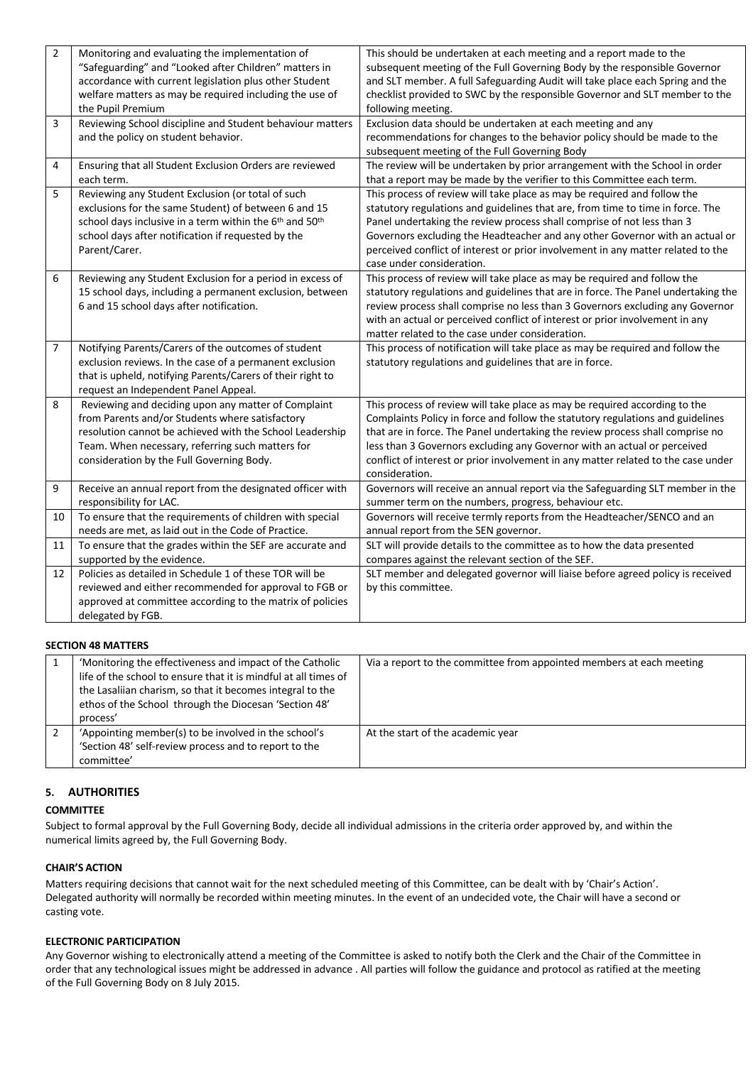| $\overline{2}$ | Monitoring and evaluating the implementation of                                             | This should be undertaken at each meeting and a report made to the                |
|----------------|---------------------------------------------------------------------------------------------|-----------------------------------------------------------------------------------|
|                | "Safeguarding" and "Looked after Children" matters in                                       | subsequent meeting of the Full Governing Body by the responsible Governor         |
|                | accordance with current legislation plus other Student                                      | and SLT member. A full Safeguarding Audit will take place each Spring and the     |
|                | welfare matters as may be required including the use of                                     | checklist provided to SWC by the responsible Governor and SLT member to the       |
|                | the Pupil Premium                                                                           | following meeting.                                                                |
| 3              | Reviewing School discipline and Student behaviour matters                                   | Exclusion data should be undertaken at each meeting and any                       |
|                | and the policy on student behavior.                                                         | recommendations for changes to the behavior policy should be made to the          |
|                |                                                                                             | subsequent meeting of the Full Governing Body                                     |
| 4              | Ensuring that all Student Exclusion Orders are reviewed                                     | The review will be undertaken by prior arrangement with the School in order       |
|                | each term.                                                                                  | that a report may be made by the verifier to this Committee each term.            |
| 5              | Reviewing any Student Exclusion (or total of such                                           | This process of review will take place as may be required and follow the          |
|                | exclusions for the same Student) of between 6 and 15                                        | statutory regulations and guidelines that are, from time to time in force. The    |
|                | school days inclusive in a term within the 6 <sup>th</sup> and 50 <sup>th</sup>             | Panel undertaking the review process shall comprise of not less than 3            |
|                | school days after notification if requested by the                                          | Governors excluding the Headteacher and any other Governor with an actual or      |
|                | Parent/Carer.                                                                               | perceived conflict of interest or prior involvement in any matter related to the  |
|                |                                                                                             | case under consideration.                                                         |
| 6              | Reviewing any Student Exclusion for a period in excess of                                   | This process of review will take place as may be required and follow the          |
|                | 15 school days, including a permanent exclusion, between                                    | statutory regulations and guidelines that are in force. The Panel undertaking the |
|                | 6 and 15 school days after notification.                                                    | review process shall comprise no less than 3 Governors excluding any Governor     |
|                |                                                                                             | with an actual or perceived conflict of interest or prior involvement in any      |
|                |                                                                                             | matter related to the case under consideration.                                   |
| $\overline{7}$ | Notifying Parents/Carers of the outcomes of student                                         | This process of notification will take place as may be required and follow the    |
|                | exclusion reviews. In the case of a permanent exclusion                                     | statutory regulations and guidelines that are in force.                           |
|                | that is upheld, notifying Parents/Carers of their right to                                  |                                                                                   |
| 8              | request an Independent Panel Appeal.<br>Reviewing and deciding upon any matter of Complaint | This process of review will take place as may be required according to the        |
|                | from Parents and/or Students where satisfactory                                             | Complaints Policy in force and follow the statutory regulations and guidelines    |
|                | resolution cannot be achieved with the School Leadership                                    | that are in force. The Panel undertaking the review process shall comprise no     |
|                | Team. When necessary, referring such matters for                                            | less than 3 Governors excluding any Governor with an actual or perceived          |
|                | consideration by the Full Governing Body.                                                   | conflict of interest or prior involvement in any matter related to the case under |
|                |                                                                                             | consideration.                                                                    |
| 9              | Receive an annual report from the designated officer with                                   | Governors will receive an annual report via the Safeguarding SLT member in the    |
|                | responsibility for LAC.                                                                     | summer term on the numbers, progress, behaviour etc.                              |
| 10             | To ensure that the requirements of children with special                                    | Governors will receive termly reports from the Headteacher/SENCO and an           |
|                | needs are met, as laid out in the Code of Practice.                                         | annual report from the SEN governor.                                              |
| 11             | To ensure that the grades within the SEF are accurate and                                   | SLT will provide details to the committee as to how the data presented            |
|                | supported by the evidence.                                                                  | compares against the relevant section of the SEF.                                 |
| 12             | Policies as detailed in Schedule 1 of these TOR will be                                     | SLT member and delegated governor will liaise before agreed policy is received    |
|                | reviewed and either recommended for approval to FGB or                                      | by this committee.                                                                |
|                | approved at committee according to the matrix of policies                                   |                                                                                   |
|                | delegated by FGB.                                                                           |                                                                                   |

## **SECTION 48 MATTERS**

|  | 'Monitoring the effectiveness and impact of the Catholic<br>life of the school to ensure that it is mindful at all times of<br>the Lasalijan charism, so that it becomes integral to the<br>ethos of the School through the Diocesan 'Section 48'<br>process' | Via a report to the committee from appointed members at each meeting |
|--|---------------------------------------------------------------------------------------------------------------------------------------------------------------------------------------------------------------------------------------------------------------|----------------------------------------------------------------------|
|  | 'Appointing member(s) to be involved in the school's<br>'Section 48' self-review process and to report to the<br>committee'                                                                                                                                   | At the start of the academic year                                    |

## **5. AUTHORITIES**

# **COMMITTEE**

Subject to formal approval by the Full Governing Body, decide all individual admissions in the criteria order approved by, and within the numerical limits agreed by, the Full Governing Body.

# **CHAIR'S ACTION**

Matters requiring decisions that cannot wait for the next scheduled meeting of this Committee, can be dealt with by 'Chair's Action'. Delegated authority will normally be recorded within meeting minutes. In the event of an undecided vote, the Chair will have a second or casting vote.

# **ELECTRONIC PARTICIPATION**

Any Governor wishing to electronically attend a meeting of the Committee is asked to notify both the Clerk and the Chair of the Committee in order that any technological issues might be addressed in advance . All parties will follow the guidance and protocol as ratified at the meeting of the Full Governing Body on 8 July 2015.